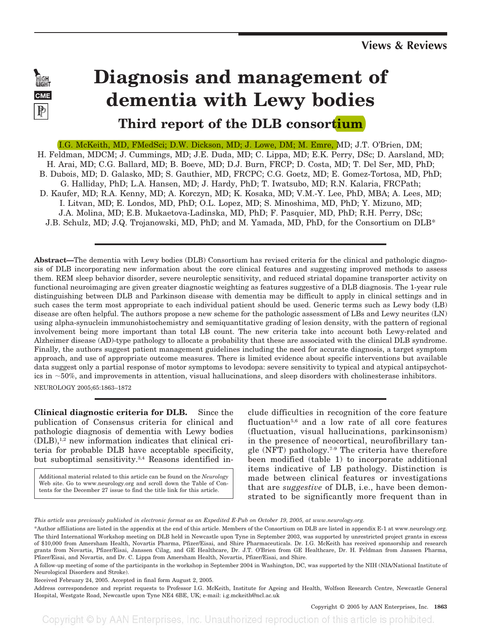**Views & Reviews**

# **Diagnosis and management of dementia with Lewy bodies**

**Third report of the DLB consortium**

I.G. McKeith, MD, FMedSci; D.W. Dickson, MD; J. Lowe, DM; M. Emre, MD; J.T. O'Brien, DM; H. Feldman, MDCM; J. Cummings, MD; J.E. Duda, MD; C. Lippa, MD; E.K. Perry, DSc; D. Aarsland, MD; H. Arai, MD; C.G. Ballard, MD; B. Boeve, MD; D.J. Burn, FRCP; D. Costa, MD; T. Del Ser, MD, PhD; B. Dubois, MD; D. Galasko, MD; S. Gauthier, MD, FRCPC; C.G. Goetz, MD; E. Gomez-Tortosa, MD, PhD; G. Halliday, PhD; L.A. Hansen, MD; J. Hardy, PhD; T. Iwatsubo, MD; R.N. Kalaria, FRCPath; D. Kaufer, MD; R.A. Kenny, MD; A. Korczyn, MD; K. Kosaka, MD; V.M.-Y. Lee, PhD, MBA; A. Lees, MD; I. Litvan, MD; E. Londos, MD, PhD; O.L. Lopez, MD; S. Minoshima, MD, PhD; Y. Mizuno, MD; J.A. Molina, MD; E.B. Mukaetova-Ladinska, MD, PhD; F. Pasquier, MD, PhD; R.H. Perry, DSc; J.B. Schulz, MD; J.Q. Trojanowski, MD, PhD; and M. Yamada, MD, PhD, for the Consortium on DLB\*

**Abstract—**The dementia with Lewy bodies (DLB) Consortium has revised criteria for the clinical and pathologic diagnosis of DLB incorporating new information about the core clinical features and suggesting improved methods to assess them. REM sleep behavior disorder, severe neuroleptic sensitivity, and reduced striatal dopamine transporter activity on functional neuroimaging are given greater diagnostic weighting as features suggestive of a DLB diagnosis. The 1-year rule distinguishing between DLB and Parkinson disease with dementia may be difficult to apply in clinical settings and in such cases the term most appropriate to each individual patient should be used. Generic terms such as Lewy body (LB) disease are often helpful. The authors propose a new scheme for the pathologic assessment of LBs and Lewy neurites (LN) using alpha-synuclein immunohistochemistry and semiquantitative grading of lesion density, with the pattern of regional involvement being more important than total LB count. The new criteria take into account both Lewy-related and Alzheimer disease (AD)-type pathology to allocate a probability that these are associated with the clinical DLB syndrome. Finally, the authors suggest patient management guidelines including the need for accurate diagnosis, a target symptom approach, and use of appropriate outcome measures. There is limited evidence about specific interventions but available data suggest only a partial response of motor symptoms to levodopa: severe sensitivity to typical and atypical antipsychotics in  $\sim$ 50%, and improvements in attention, visual hallucinations, and sleep disorders with cholinesterase inhibitors.

NEUROLOGY 2005;65:1863–1872

**CME**

ℙ

HIGH

**Clinical diagnostic criteria for DLB.** Since the publication of Consensus criteria for clinical and pathologic diagnosis of dementia with Lewy bodies (DLB),1,2 new information indicates that clinical criteria for probable DLB have acceptable specificity, but suboptimal sensitivity.3,4 Reasons identified in-

Additional material related to this article can be found on the *Neurology* Web site. Go to www.neurology.org and scroll down the Table of Contents for the December 27 issue to find the title link for this article.

clude difficulties in recognition of the core feature fluctuation5,6 and a low rate of all core features (fluctuation, visual hallucinations, parkinsonism) in the presence of neocortical, neurofibrillary tangle (NFT) pathology.7-9 The criteria have therefore been modified (table 1) to incorporate additional items indicative of LB pathology. Distinction is made between clinical features or investigations that are *suggestive* of DLB, i.e., have been demonstrated to be significantly more frequent than in

*This article was previously published in electronic format as an Expedited E-Pub on October 19, 2005, at www.neurology.org.*

<sup>\*</sup>Author affiliations are listed in the appendix at the end of this article. Members of the Consortium on DLB are listed in appendix E-1 at www.neurology.org. The third International Workshop meeting on DLB held in Newcastle upon Tyne in September 2003, was supported by unrestricted project grants in excess of \$10,000 from Amersham Health, Novartis Pharma, Pfizer/Eisai, and Shire Pharmaceuticals. Dr. I.G. McKeith has received sponsorship and research grants from Novartis, Pfizer/Eisai, Janssen Cilag, and GE Healthcare, Dr. J.T. O'Brien from GE Healthcare, Dr. H. Feldman from Janssen Pharma, Pfizer/Eisai, and Novartis, and Dr. C. Lippa from Amersham Health, Novartis, Pfizer/Eisai, and Shire.

A follow-up meeting of some of the participants in the workshop in September 2004 in Washington, DC, was supported by the NIH (NIA/National Institute of Neurological Disorders and Stroke).

Received February 24, 2005. Accepted in final form August 2, 2005.

Address correspondence and reprint requests to Professor I.G. McKeith, Institute for Ageing and Health, Wolfson Research Centre, Newcastle General Hospital, Westgate Road, Newcastle upon Tyne NE4 6BE, UK; e-mail: i.g.mckeith@ncl.ac.uk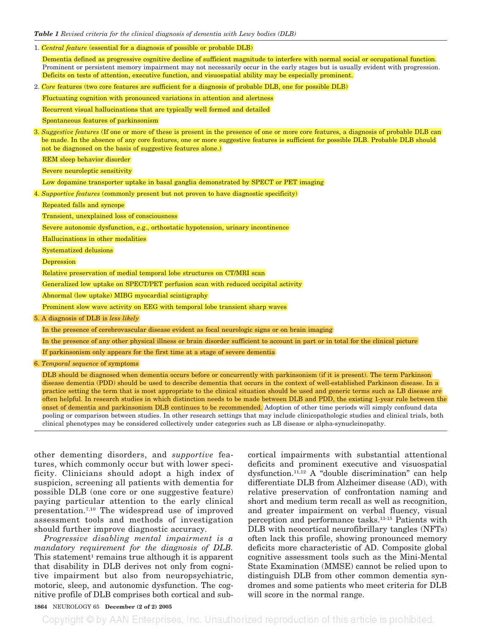1. *Central feature* (essential for a diagnosis of possible or probable DLB)

Dementia defined as progressive cognitive decline of sufficient magnitude to interfere with normal social or occupational function. Prominent or persistent memory impairment may not necessarily occur in the early stages but is usually evident with progression. Deficits on tests of attention, executive function, and visuospatial ability may be especially prominent.

2. *Core* features (two core features are sufficient for a diagnosis of probable DLB, one for possible DLB)

Fluctuating cognition with pronounced variations in attention and alertness

Recurrent visual hallucinations that are typically well formed and detailed

Spontaneous features of parkinsonism

3. *Suggestive features* (If one or more of these is present in the presence of one or more core features, a diagnosis of probable DLB can be made. In the absence of any core features, one or more suggestive features is sufficient for possible DLB. Probable DLB should not be diagnosed on the basis of suggestive features alone.)

REM sleep behavior disorder

Severe neuroleptic sensitivity

Low dopamine transporter uptake in basal ganglia demonstrated by SPECT or PET imaging

4. *Supportive features* (commonly present but not proven to have diagnostic specificity)

Repeated falls and syncope

Transient, unexplained loss of consciousness

Severe autonomic dysfunction, e.g., orthostatic hypotension, urinary incontinence

Hallucinations in other modalities

Systematized delusions

Depression

Relative preservation of medial temporal lobe structures on CT/MRI scan

Generalized low uptake on SPECT/PET perfusion scan with reduced occipital activity

Abnormal (low uptake) MIBG myocardial scintigraphy

Prominent slow wave activity on EEG with temporal lobe transient sharp waves

5. A diagnosis of DLB is *less likely*

In the presence of cerebrovascular disease evident as focal neurologic signs or on brain imaging

In the presence of any other physical illness or brain disorder sufficient to account in part or in total for the clinical picture

If parkinsonism only appears for the first time at a stage of severe dementia

6. *Temporal sequence* of symptoms

DLB should be diagnosed when dementia occurs before or concurrently with parkinsonism (if it is present). The term Parkinson disease dementia (PDD) should be used to describe dementia that occurs in the context of well-established Parkinson disease. In a practice setting the term that is most appropriate to the clinical situation should be used and generic terms such as LB disease are often helpful. In research studies in which distinction needs to be made between DLB and PDD, the existing 1-year rule between the onset of dementia and parkinsonism DLB continues to be recommended. Adoption of other time periods will simply confound data pooling or comparison between studies. In other research settings that may include clinicopathologic studies and clinical trials, both clinical phenotypes may be considered collectively under categories such as LB disease or alpha-synucleinopathy.

other dementing disorders, and *supportive* features, which commonly occur but with lower specificity. Clinicians should adopt a high index of suspicion, screening all patients with dementia for possible DLB (one core or one suggestive feature) paying particular attention to the early clinical presentation.7,10 The widespread use of improved assessment tools and methods of investigation should further improve diagnostic accuracy.

*Progressive disabling mental impairment is a mandatory requirement for the diagnosis of DLB.* This statement<sup>1</sup> remains true although it is apparent that disability in DLB derives not only from cognitive impairment but also from neuropsychiatric, motoric, sleep, and autonomic dysfunction. The cognitive profile of DLB comprises both cortical and subcortical impairments with substantial attentional deficits and prominent executive and visuospatial dysfunction.11,12 A "double discrimination" can help differentiate DLB from Alzheimer disease (AD), with relative preservation of confrontation naming and short and medium term recall as well as recognition, and greater impairment on verbal fluency, visual perception and performance tasks.13-15 Patients with DLB with neocortical neurofibrillary tangles (NFTs) often lack this profile, showing pronounced memory deficits more characteristic of AD. Composite global cognitive assessment tools such as the Mini-Mental State Examination (MMSE) cannot be relied upon to distinguish DLB from other common dementia syndromes and some patients who meet criteria for DLB will score in the normal range.

# **1864** NEUROLOGY 65 **December (2 of 2) 2005**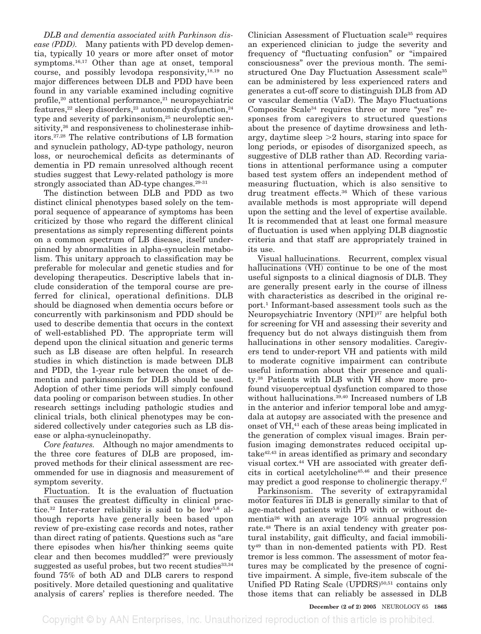*DLB and dementia associated with Parkinson disease (PDD).* Many patients with PD develop dementia, typically 10 years or more after onset of motor symptoms.<sup>16,17</sup> Other than age at onset, temporal course, and possibly levodopa responsivity,18,19 no major differences between DLB and PDD have been found in any variable examined including cognitive profile,<sup>20</sup> attentional performance,<sup>21</sup> neuropsychiatric features,<sup>22</sup> sleep disorders,<sup>23</sup> autonomic dysfunction,<sup>24</sup> type and severity of parkinsonism,<sup>25</sup> neuroleptic sensitivity,<sup>26</sup> and responsiveness to cholinesterase inhibitors.27,28 The relative contributions of LB formation and synuclein pathology, AD-type pathology, neuron loss, or neurochemical deficits as determinants of dementia in PD remain unresolved although recent studies suggest that Lewy-related pathology is more strongly associated than AD-type changes.<sup>29-31</sup>

The distinction between DLB and PDD as two distinct clinical phenotypes based solely on the temporal sequence of appearance of symptoms has been criticized by those who regard the different clinical presentations as simply representing different points on a common spectrum of LB disease, itself underpinned by abnormalities in alpha-synuclein metabolism. This unitary approach to classification may be preferable for molecular and genetic studies and for developing therapeutics. Descriptive labels that include consideration of the temporal course are preferred for clinical, operational definitions. DLB should be diagnosed when dementia occurs before or concurrently with parkinsonism and PDD should be used to describe dementia that occurs in the context of well-established PD. The appropriate term will depend upon the clinical situation and generic terms such as LB disease are often helpful. In research studies in which distinction is made between DLB and PDD, the 1-year rule between the onset of dementia and parkinsonism for DLB should be used. Adoption of other time periods will simply confound data pooling or comparison between studies. In other research settings including pathologic studies and clinical trials, both clinical phenotypes may be considered collectively under categories such as LB disease or alpha-synucleinopathy.

*Core features.* Although no major amendments to the three core features of DLB are proposed, improved methods for their clinical assessment are recommended for use in diagnosis and measurement of symptom severity.

Fluctuation. It is the evaluation of fluctuation that causes the greatest difficulty in clinical practice.<sup>32</sup> Inter-rater reliability is said to be low<sup>5,6</sup> although reports have generally been based upon review of pre-existing case records and notes, rather than direct rating of patients. Questions such as "are there episodes when his/her thinking seems quite clear and then becomes muddled?" were previously suggested as useful probes, but two recent studies $33,34$ found 75% of both AD and DLB carers to respond positively. More detailed questioning and qualitative analysis of carers' replies is therefore needed. The

Clinician Assessment of Fluctuation scale35 requires an experienced clinician to judge the severity and frequency of "fluctuating confusion" or "impaired consciousness" over the previous month. The semistructured One Day Fluctuation Assessment scale<sup>35</sup> can be administered by less experienced raters and generates a cut-off score to distinguish DLB from AD or vascular dementia (VaD). The Mayo Fluctuations Composite Scale34 requires three or more "yes" responses from caregivers to structured questions about the presence of daytime drowsiness and lethargy, daytime sleep -2 hours, staring into space for long periods, or episodes of disorganized speech, as suggestive of DLB rather than AD. Recording variations in attentional performance using a computer based test system offers an independent method of measuring fluctuation, which is also sensitive to drug treatment effects.<sup>36</sup> Which of these various available methods is most appropriate will depend upon the setting and the level of expertise available. It is recommended that at least one formal measure of fluctuation is used when applying DLB diagnostic criteria and that staff are appropriately trained in its use.

Visual hallucinations. Recurrent, complex visual hallucinations (VH) continue to be one of the most useful signposts to a clinical diagnosis of DLB. They are generally present early in the course of illness with characteristics as described in the original report.1 Informant-based assessment tools such as the Neuropsychiatric Inventory (NPI)37 are helpful both for screening for VH and assessing their severity and frequency but do not always distinguish them from hallucinations in other sensory modalities. Caregivers tend to under-report VH and patients with mild to moderate cognitive impairment can contribute useful information about their presence and quality.38 Patients with DLB with VH show more profound visuoperceptual dysfunction compared to those without hallucinations.<sup>39,40</sup> Increased numbers of LB in the anterior and inferior temporal lobe and amygdala at autopsy are associated with the presence and onset of VH,41 each of these areas being implicated in the generation of complex visual images. Brain perfusion imaging demonstrates reduced occipital uptake42,43 in areas identified as primary and secondary visual cortex.44 VH are associated with greater deficits in cortical acetylcholine45,46 and their presence may predict a good response to cholinergic therapy.<sup>47</sup>

Parkinsonism. The severity of extrapyramidal motor features in DLB is generally similar to that of age-matched patients with PD with or without dementia26 with an average 10% annual progression rate.48 There is an axial tendency with greater postural instability, gait difficulty, and facial immobility49 than in non-demented patients with PD. Rest tremor is less common. The assessment of motor features may be complicated by the presence of cognitive impairment. A simple, five-item subscale of the Unified PD Rating Scale  $(UPDRS)^{50,51}$  contains only those items that can reliably be assessed in DLB

## **December (2 of 2) 2005** NEUROLOGY 65 **1865**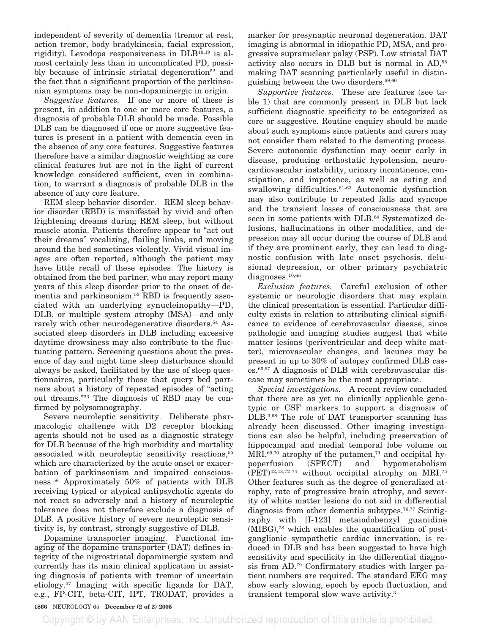independent of severity of dementia (tremor at rest, action tremor, body bradykinesia, facial expression, rigidity). Levodopa responsiveness in DLB18,19 is almost certainly less than in uncomplicated PD, possibly because of intrinsic striatal degeneration<sup>52</sup> and the fact that a significant proportion of the parkinsonian symptoms may be non-dopaminergic in origin.

*Suggestive features.* If one or more of these is present, in addition to one or more core features, a diagnosis of probable DLB should be made. Possible DLB can be diagnosed if one or more suggestive features is present in a patient with dementia even in the absence of any core features. Suggestive features therefore have a similar diagnostic weighting as core clinical features but are not in the light of current knowledge considered sufficient, even in combination, to warrant a diagnosis of probable DLB in the absence of any core feature.

REM sleep behavior disorder. REM sleep behavior disorder (RBD) is manifested by vivid and often frightening dreams during REM sleep, but without muscle atonia. Patients therefore appear to "act out their dreams" vocalizing, flailing limbs, and moving around the bed sometimes violently. Vivid visual images are often reported, although the patient may have little recall of these episodes. The history is obtained from the bed partner, who may report many years of this sleep disorder prior to the onset of dementia and parkinsonism.53 RBD is frequently associated with an underlying synucleinopathy—PD, DLB, or multiple system atrophy (MSA)—and only rarely with other neurodegenerative disorders.<sup>54</sup> Associated sleep disorders in DLB including excessive daytime drowsiness may also contribute to the fluctuating pattern. Screening questions about the presence of day and night time sleep disturbance should always be asked, facilitated by the use of sleep questionnaires, particularly those that query bed partners about a history of repeated episodes of "acting out dreams."23 The diagnosis of RBD may be confirmed by polysomnography.

Severe neuroleptic sensitivity. Deliberate pharmacologic challenge with D2 receptor blocking agents should not be used as a diagnostic strategy for DLB because of the high morbidity and mortality associated with neuroleptic sensitivity reactions,<sup>55</sup> which are characterized by the acute onset or exacerbation of parkinsonism and impaired consciousness.56 Approximately 50% of patients with DLB receiving typical or atypical antipsychotic agents do not react so adversely and a history of neuroleptic tolerance does not therefore exclude a diagnosis of DLB. A positive history of severe neuroleptic sensitivity is, by contrast, strongly suggestive of DLB.

Dopamine transporter imaging. Functional imaging of the dopamine transporter (DAT) defines integrity of the nigrostriatal dopaminergic system and currently has its main clinical application in assisting diagnosis of patients with tremor of uncertain etiology.57 Imaging with specific ligands for DAT, e.g., FP-CIT, beta-CIT, IPT, TRODAT, provides a

marker for presynaptic neuronal degeneration. DAT imaging is abnormal in idiopathic PD, MSA, and progressive supranuclear palsy (PSP). Low striatal DAT activity also occurs in DLB but is normal in AD,58 making DAT scanning particularly useful in distinguishing between the two disorders.59,60

*Supportive features.* These are features (see table 1) that are commonly present in DLB but lack sufficient diagnostic specificity to be categorized as core or suggestive. Routine enquiry should be made about such symptoms since patients and carers may not consider them related to the dementing process. Severe autonomic dysfunction may occur early in disease, producing orthostatic hypotension, neurocardiovascular instability, urinary incontinence, constipation, and impotence, as well as eating and swallowing difficulties.<sup>61-63</sup> Autonomic dysfunction may also contribute to repeated falls and syncope and the transient losses of consciousness that are seen in some patients with DLB.<sup>64</sup> Systematized delusions, hallucinations in other modalities, and depression may all occur during the course of DLB and if they are prominent early, they can lead to diagnostic confusion with late onset psychosis, delusional depression, or other primary psychiatric diagnoses.<sup>10,65</sup>

*Exclusion features.* Careful exclusion of other systemic or neurologic disorders that may explain the clinical presentation is essential. Particular difficulty exists in relation to attributing clinical significance to evidence of cerebrovascular disease, since pathologic and imaging studies suggest that white matter lesions (periventricular and deep white matter), microvascular changes, and lacunes may be present in up to 30% of autopsy confirmed DLB cases.66,67 A diagnosis of DLB with cerebrovascular disease may sometimes be the most appropriate.

*Special investigations.* A recent review concluded that there are as yet no clinically applicable genotypic or CSF markers to support a diagnosis of DLB.3,68 The role of DAT transporter scanning has already been discussed. Other imaging investigations can also be helpful, including preservation of hippocampal and medial temporal lobe volume on  $MRI,69,70$  atrophy of the putamen,<sup>71</sup> and occipital hypoperfusion (SPECT) and hypometabolism  $(PET)^{42,43,72-74}$  without occipital atrophy on MRI.<sup>75</sup> Other features such as the degree of generalized atrophy, rate of progressive brain atrophy, and severity of white matter lesions do not aid in differential diagnosis from other dementia subtypes.<sup>76,77</sup> Scintigraphy with [I-123] metaiodobenzyl guanidine (MIBG),78 which enables the quantification of postganglionic sympathetic cardiac innervation, is reduced in DLB and has been suggested to have high sensitivity and specificity in the differential diagnosis from AD.79 Confirmatory studies with larger patient numbers are required. The standard EEG may show early slowing, epoch by epoch fluctuation, and transient temporal slow wave activity.3

**1866** NEUROLOGY 65 **December (2 of 2) 2005**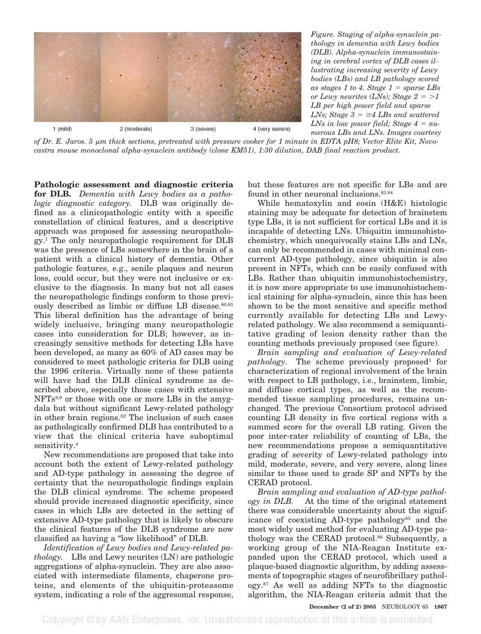

*Figure. Staging of alpha-synuclein pathology in dementia with Lewy bodies (DLB). Alpha-synuclein immunostaining in cerebral cortex of DLB cases illustrating increasing severity of Lewy bodies (LBs) and LB pathology scored as stages 1 to 4. Stage 1 sparse LBs or Lewy neurites (LNs); Stage 2*  $=$  $>$ *1 LB per high power field and sparse LNs; Stage 3*  $=$   $\geq$ 4 *LBs and scattered LNs in low power field; Stage*  $4 = nu$ *merous LBs and LNs. Images courtesy*

of Dr. E. Jaros. 5  $\mu$ m thick sections, pretreated with pressure cooker for 1 minute in EDTA pH8; Vector Elite Kit, Novo*castra mouse monoclonal alpha-synuclein antibody (clone KM51), 1:30 dilution, DAB final reaction product.*

**Pathologic assessment and diagnostic criteria for DLB.** *Dementia with Lewy bodies as a pathologic diagnostic category.* DLB was originally defined as a clinicopathologic entity with a specific constellation of clinical features, and a descriptive approach was proposed for assessing neuropathology.1 The only neuropathologic requirement for DLB was the presence of LBs somewhere in the brain of a patient with a clinical history of dementia. Other pathologic features, e.g., senile plaques and neuron loss, could occur, but they were not inclusive or exclusive to the diagnosis. In many but not all cases the neuropathologic findings conform to those previously described as limbic or diffuse LB disease.<sup>80,81</sup> This liberal definition has the advantage of being widely inclusive, bringing many neuropathologic cases into consideration for DLB; however, as increasingly sensitive methods for detecting LBs have been developed, as many as 60% of AD cases may be considered to meet pathologic criteria for DLB using the 1996 criteria. Virtually none of these patients will have had the DLB clinical syndrome as described above, especially those cases with extensive NFTs8,9 or those with one or more LBs in the amygdala but without significant Lewy-related pathology in other brain regions.<sup>82</sup> The inclusion of such cases as pathologically confirmed DLB has contributed to a view that the clinical criteria have suboptimal sensitivity.<sup>4</sup>

New recommendations are proposed that take into account both the extent of Lewy-related pathology and AD-type pathology in assessing the degree of certainty that the neuropathologic findings explain the DLB clinical syndrome. The scheme proposed should provide increased diagnostic specificity, since cases in which LBs are detected in the setting of extensive AD-type pathology that is likely to obscure the clinical features of the DLB syndrome are now classified as having a "low likelihood" of DLB.

*Identification of Lewy bodies and Lewy-related pathology.* LBs and Lewy neurites (LN) are pathologic aggregations of alpha-synuclein. They are also associated with intermediate filaments, chaperone proteins, and elements of the ubiquitin-proteasome system, indicating a role of the aggresomal response,

but these features are not specific for LBs and are found in other neuronal inclusions.  $83,84$ 

While hematoxylin and eosin (H&E) histologic staining may be adequate for detection of brainstem type LBs, it is not sufficient for cortical LBs and it is incapable of detecting LNs. Ubiquitin immunohistochemistry, which unequivocally stains LBs and LNs, can only be recommended in cases with minimal concurrent AD-type pathology, since ubiquitin is also present in NFTs, which can be easily confused with LBs. Rather than ubiquitin immunohistochemistry, it is now more appropriate to use immunohistochemical staining for alpha-synuclein, since this has been shown to be the most sensitive and specific method currently available for detecting LBs and Lewyrelated pathology. We also recommend a semiquantitative grading of lesion density rather than the counting methods previously proposed (see figure).

*Brain sampling and evaluation of Lewy-related*  $pathology.$  The scheme previously proposed<sup>1</sup> for characterization of regional involvement of the brain with respect to LB pathology, i.e., brainstem, limbic, and diffuse cortical types, as well as the recommended tissue sampling procedures, remains unchanged. The previous Consortium protocol advised counting LB density in five cortical regions with a summed score for the overall LB rating. Given the poor inter-rater reliability of counting of LBs, the new recommendations propose a semiquantitative grading of severity of Lewy-related pathology into mild, moderate, severe, and very severe, along lines similar to those used to grade SP and NFTs by the CERAD protocol.

*Brain sampling and evaluation of AD-type pathology in DLB.* At the time of the original statement there was considerable uncertainty about the significance of coexisting AD-type pathology<sup>85</sup> and the most widely used method for evaluating AD-type pathology was the CERAD protocol.<sup>86</sup> Subsequently, a working group of the NIA-Reagan Institute expanded upon the CERAD protocol, which used a plaque-based diagnostic algorithm, by adding assessments of topographic stages of neurofibrillary pathology.87 As well as adding NFTs to the diagnostic algorithm, the NIA-Reagan criteria admit that the

## **December (2 of 2) 2005** NEUROLOGY 65 **1867**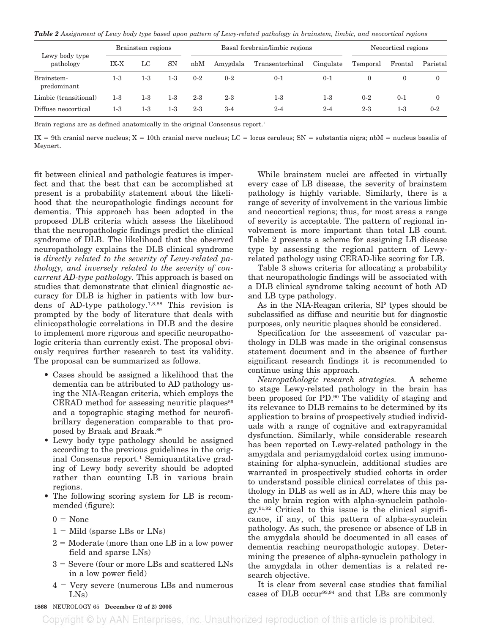*Table 2 Assignment of Lewy body type based upon pattern of Lewy-related pathology in brainstem, limbic, and neocortical regions*

| Lewy body type<br>pathology | Brainstem regions |     |         | Basal forebrain/limbic regions |          |                 |           | Neocortical regions |         |          |
|-----------------------------|-------------------|-----|---------|--------------------------------|----------|-----------------|-----------|---------------------|---------|----------|
|                             | IX-X              | LC  | SN      | nbM                            | Amygdala | Transentorhinal | Cingulate | Temporal            | Frontal | Parietal |
| Brainstem-<br>predominant   | 1-3               | 1-3 | $1 - 3$ | $0 - 2$                        | $0 - 2$  | $0 - 1$         | $0-1$     | $\theta$            |         |          |
| Limbic (transitional)       | 1-3               | 1-3 | $1-3$   | $2 - 3$                        | $2 - 3$  | $1-3$           | 1-3       | $0 - 2$             | $0 - 1$ |          |
| Diffuse neocortical         | $1-3$             | 1-3 | $1 - 3$ | $2 - 3$                        | $3-4$    | $2 - 4$         | $2 - 4$   | $2 - 3$             | $1 - 3$ | $0-2$    |

Brain regions are as defined anatomically in the original Consensus report.<sup>1</sup>

 $IX = 9th$  cranial nerve nucleus;  $X = 10th$  cranial nerve nucleus;  $LC =$  locus ceruleus;  $SN =$  substantia nigra; nbM = nucleus basalis of Meynert.

fit between clinical and pathologic features is imperfect and that the best that can be accomplished at present is a probability statement about the likelihood that the neuropathologic findings account for dementia. This approach has been adopted in the proposed DLB criteria which assess the likelihood that the neuropathologic findings predict the clinical syndrome of DLB. The likelihood that the observed neuropathology explains the DLB clinical syndrome is *directly related to the severity of Lewy-related pathology, and inversely related to the severity of concurrent AD-type pathology.* This approach is based on studies that demonstrate that clinical diagnostic accuracy for DLB is higher in patients with low burdens of AD-type pathology.7,8,88 This revision is prompted by the body of literature that deals with clinicopathologic correlations in DLB and the desire to implement more rigorous and specific neuropathologic criteria than currently exist. The proposal obviously requires further research to test its validity. The proposal can be summarized as follows.

- Cases should be assigned a likelihood that the dementia can be attributed to AD pathology using the NIA-Reagan criteria, which employs the  $CERAD$  method for assessing neuritic plaques<sup>86</sup> and a topographic staging method for neurofibrillary degeneration comparable to that proposed by Braak and Braak.89
- Lewy body type pathology should be assigned according to the previous guidelines in the original Consensus report.<sup>1</sup> Semiquantitative grading of Lewy body severity should be adopted rather than counting LB in various brain regions.
- The following scoring system for LB is recommended (figure):
	- $0 = None$
	- $1 =$  Mild (sparse LBs or LNs)
	- $2 =$  Moderate (more than one LB in a low power field and sparse LNs)
	- $3$  = Severe (four or more LBs and scattered LNs in a low power field)
	- $4$  = Very severe (numerous LBs and numerous LNs)

While brainstem nuclei are affected in virtually every case of LB disease, the severity of brainstem pathology is highly variable. Similarly, there is a range of severity of involvement in the various limbic and neocortical regions; thus, for most areas a range of severity is acceptable. The pattern of regional involvement is more important than total LB count. Table 2 presents a scheme for assigning LB disease type by assessing the regional pattern of Lewyrelated pathology using CERAD-like scoring for LB.

Table 3 shows criteria for allocating a probability that neuropathologic findings will be associated with a DLB clinical syndrome taking account of both AD and LB type pathology.

As in the NIA-Reagan criteria, SP types should be subclassified as diffuse and neuritic but for diagnostic purposes, only neuritic plaques should be considered.

Specification for the assessment of vascular pathology in DLB was made in the original consensus statement document and in the absence of further significant research findings it is recommended to continue using this approach.

*Neuropathologic research strategies.* A scheme to stage Lewy-related pathology in the brain has been proposed for PD.90 The validity of staging and its relevance to DLB remains to be determined by its application to brains of prospectively studied individuals with a range of cognitive and extrapyramidal dysfunction. Similarly, while considerable research has been reported on Lewy-related pathology in the amygdala and periamygdaloid cortex using immunostaining for alpha-synuclein, additional studies are warranted in prospectively studied cohorts in order to understand possible clinical correlates of this pathology in DLB as well as in AD, where this may be the only brain region with alpha-synuclein pathology.91,92 Critical to this issue is the clinical significance, if any, of this pattern of alpha-synuclein pathology. As such, the presence or absence of LB in the amygdala should be documented in all cases of dementia reaching neuropathologic autopsy. Determining the presence of alpha-synuclein pathology in the amygdala in other dementias is a related research objective.

It is clear from several case studies that familial cases of DLB occur93,94 and that LBs are commonly

# **1868** NEUROLOGY 65 **December (2 of 2) 2005**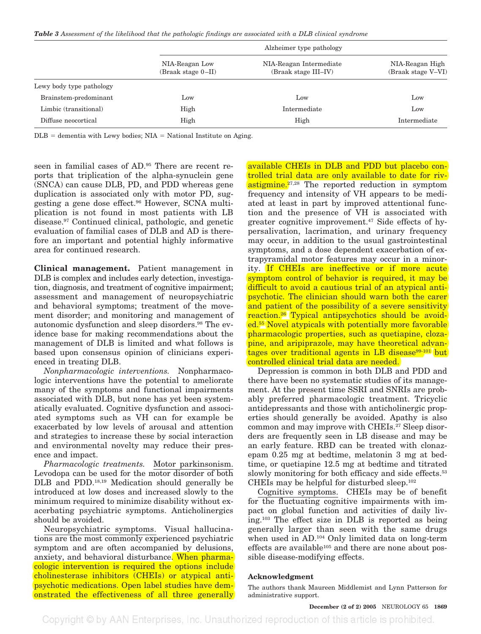*Table 3 Assessment of the likelihood that the pathologic findings are associated with a DLB clinical syndrome*

|                          |                                        | Alzheimer type pathology                        |                                       |  |  |  |  |
|--------------------------|----------------------------------------|-------------------------------------------------|---------------------------------------|--|--|--|--|
|                          | NIA-Reagan Low<br>$(Braak stage 0-II)$ | NIA-Reagan Intermediate<br>(Braak stage III-IV) | NIA-Reagan High<br>(Braak stage V-VI) |  |  |  |  |
| Lewy body type pathology |                                        |                                                 |                                       |  |  |  |  |
| Brainstem-predominant    | Low                                    | Low                                             | Low                                   |  |  |  |  |
| Limbic (transitional)    | High                                   | Intermediate                                    | Low                                   |  |  |  |  |
| Diffuse neocortical      | High                                   | High                                            | Intermediate                          |  |  |  |  |

 $DLB =$  dementia with Lewy bodies;  $NIA =$  National Institute on Aging.

seen in familial cases of AD.95 There are recent reports that triplication of the alpha-synuclein gene (SNCA) can cause DLB, PD, and PDD whereas gene duplication is associated only with motor PD, suggesting a gene dose effect.96 However, SCNA multiplication is not found in most patients with LB disease.97 Continued clinical, pathologic, and genetic evaluation of familial cases of DLB and AD is therefore an important and potential highly informative area for continued research.

**Clinical management.** Patient management in DLB is complex and includes early detection, investigation, diagnosis, and treatment of cognitive impairment; assessment and management of neuropsychiatric and behavioral symptoms; treatment of the movement disorder; and monitoring and management of autonomic dysfunction and sleep disorders.<sup>98</sup> The evidence base for making recommendations about the management of DLB is limited and what follows is based upon consensus opinion of clinicians experienced in treating DLB.

*Nonpharmacologic interventions.* Nonpharmacologic interventions have the potential to ameliorate many of the symptoms and functional impairments associated with DLB, but none has yet been systematically evaluated. Cognitive dysfunction and associated symptoms such as VH can for example be exacerbated by low levels of arousal and attention and strategies to increase these by social interaction and environmental novelty may reduce their presence and impact.

*Pharmacologic treatments.* Motor parkinsonism. Levodopa can be used for the motor disorder of both DLB and PDD.18,19 Medication should generally be introduced at low doses and increased slowly to the minimum required to minimize disability without exacerbating psychiatric symptoms. Anticholinergics should be avoided.

Neuropsychiatric symptoms. Visual hallucinations are the most commonly experienced psychiatric symptom and are often accompanied by delusions, anxiety, and behavioral disturbance. When pharmacologic intervention is required the options include cholinesterase inhibitors (CHEIs) or atypical antipsychotic medications. Open label studies have demonstrated the effectiveness of all three generally available CHEIs in DLB and PDD but placebo controlled trial data are only available to date for riv- $\alpha$ stigmine.<sup>27,28</sup> The reported reduction in symptom frequency and intensity of VH appears to be mediated at least in part by improved attentional function and the presence of VH is associated with greater cognitive improvement.47 Side effects of hypersalivation, lacrimation, and urinary frequency may occur, in addition to the usual gastrointestinal symptoms, and a dose dependent exacerbation of extrapyramidal motor features may occur in a minority. If CHEIs are ineffective or if more acute symptom control of behavior is required, it may be difficult to avoid a cautious trial of an atypical antipsychotic. The clinician should warn both the carer and patient of the possibility of a severe sensitivity reaction.26 Typical antipsychotics should be avoided.<sup>55</sup> Novel atypicals with potentially more favorable pharmacologic properties, such as quetiapine, clozapine, and aripiprazole, may have theoretical advantages over traditional agents in LB disease<sup>99-101</sup> but controlled clinical trial data are needed.

Depression is common in both DLB and PDD and there have been no systematic studies of its management. At the present time SSRI and SNRIs are probably preferred pharmacologic treatment. Tricyclic antidepressants and those with anticholinergic properties should generally be avoided. Apathy is also common and may improve with CHEIs.<sup>27</sup> Sleep disorders are frequently seen in LB disease and may be an early feature. RBD can be treated with clonazepam 0.25 mg at bedtime, melatonin 3 mg at bedtime, or quetiapine 12.5 mg at bedtime and titrated slowly monitoring for both efficacy and side effects.<sup>53</sup> CHEIs may be helpful for disturbed sleep.102

Cognitive symptoms. CHEIs may be of benefit for the fluctuating cognitive impairments with impact on global function and activities of daily living.103 The effect size in DLB is reported as being generally larger than seen with the same drugs when used in AD.104 Only limited data on long-term effects are available<sup>105</sup> and there are none about possible disease-modifying effects.

# **Acknowledgment**

The authors thank Maureen Middlemist and Lynn Patterson for administrative support.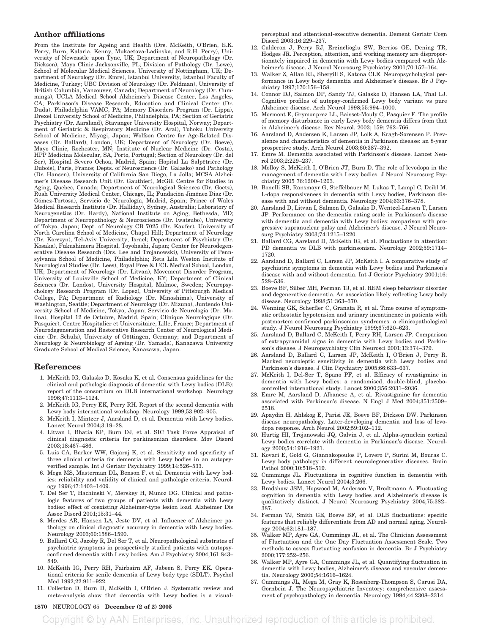#### **Author affiliations**

From the Institute for Ageing and Health (Drs. McKeith, O'Brien, E.K. Perry, Burn, Kalaria, Kenny, Mukaetova-Ladinska, and R.H. Perry), University of Newcastle upon Tyne, UK; Department of Neuropathology (Dr. Dickson), Mayo Clinic Jacksonville, FL; Division of Pathology (Dr. Lowe), School of Molecular Medical Sciences, University of Nottingham, UK; Department of Neurology (Dr. Emre), Istanbul University, Istanbul Faculty of Medicine, Turkey; UBC Division of Neurology (Dr. Feldman), University of British Columbia, Vancouver, Canada; Department of Neurology (Dr. Cummings), UCLA Medical School Alzheimer's Disease Center, Los Angeles, CA; Parkinson's Disease Research, Education and Clinical Center (Dr. Duda), Philadelphia VAMC, PA; Memory Disorders Program (Dr. Lippa), Drexel University School of Medicine, Philadelphia, PA; Section of Geriatric Psychiatry (Dr. Aarsland), Stavanger University Hospital, Norway; Department of Geriatric & Respiratory Medicine (Dr. Arai), Tohoku University School of Medicine, Miyagi, Japan; Wolfson Centre for Age-Related Diseases (Dr. Ballard), London, UK; Department of Neurology (Dr. Boeve), Mayo Clinic, Rochester, MN; Institute of Nuclear Medicine (Dr. Costa), HPP Medicina Molecular, SA, Porto, Portugal; Section of Neurology (Dr. del Ser), Hospital Severo Ochoa, Madrid, Spain; Hopital La Salpêtrière (Dr. Dubois), Paris, France; Depts. of Neuroscience (Dr. Galasko) and Pathology (Dr. Hansen), University of California San Diego, La Jolla; MCSA Alzheimer's Disease Research Unit (Dr. Gauthier), McGill Centre for Studies in Aging, Quebec, Canada; Department of Neurological Sciences (Dr. Goetz), Rush University Medical Center, Chicago, IL; Fundación Jiménez Diaz (Dr. Gómez-Tortosa), Servicio de Neurología, Madrid, Spain; Prince of Wales Medical Research Institute (Dr. Halliday), Sydney, Australia; Laboratory of Neurogenetics (Dr. Hardy), National Institute on Aging, Bethesda, MD; Department of Neuropathology & Neuroscience (Dr. Iwatsubo), University of Tokyo, Japan; Dept. of Neurology CB 7025 (Dr. Kaufer), University of North Carolina School of Medicine, Chapel Hill; Department of Neurology (Dr. Korczyn), Tel-Aviv University, Israel; Department of Psychiatry (Dr. Kosaka), Fukushimera Hospital, Toyohashi, Japan; Center for Neurodegenerative Disease Research (Drs. Lee and Trojanowski), University of Pennsylvania School of Medicine, Philadelphia; Reta Lila Weston Institute of Neurological Studies (Dr. Lees), Royal Free & UCL Medical School, London, UK; Department of Neurology (Dr. Litvan), Movement Disorder Program, University of Louisville School of Medicine, KY; Department of Clinical Sciences (Dr. Londos), University Hospital, Malmoe, Sweden; Neuropsychology Research Program (Dr. Lopez), University of Pittsburgh Medical College, PA; Department of Radiology (Dr. Minoshima), University of Washington, Seattle; Department of Neurology (Dr. Mizuno), Juntendo University School of Medicine, Tokyo, Japan; Servicio de Neurologia (Dr. Molina), Hospital 12 de Octubre, Madrid, Spain; Clinique Neurologique (Dr. Pasquier), Centre Hospitalier et Universitaire, Lille, France; Department of Neurodegeneration and Restorative Research Center of Neurological Medicine (Dr. Schulz), University of Göttingen, Germany; and Department of Neurology & Neurobiology of Ageing (Dr. Yamada), Kanazawa University Graduate School of Medical Science, Kanazawa, Japan.

#### **References**

- 1. McKeith IG, Galasko D, Kosaka K, et al. Consensus guidelines for the clinical and pathologic diagnosis of dementia with Lewy bodies (DLB): report of the consortium on DLB international workshop. Neurology 1996;47:1113–1124.
- 2. McKeith IG, Perry EK, Perry RH. Report of the second dementia with Lewy body international workshop. Neurology 1999;53:902–905.
- 3. McKeith I, Mintzer J, Aarsland D, et al. Dementia with Lewy bodies. Lancet Neurol 2004;3:19–28.
- 4. Litvan I, Bhatia KP, Burn DJ, et al. SIC Task Force Appraisal of clinical diagnostic criteria for parkinsonian disorders. Mov Disord 2003;18:467–486.
- 5. Luis CA, Barker WW, Gajaraj K, et al. Sensitivity and specificity of three clinical criteria for dementia with Lewy bodies in an autopsyverified sample. Int J Geriatr Psychiatry 1999;14:526–533.
- 6. Mega MS, Masterman DL, Benson F, et al. Dementia with Lewy bodies: reliability and validity of clinical and pathologic criteria. Neurology 1996;47:1403–1409.
- 7. Del Ser T, Hachinski V, Merskey H, Munoz DG. Clinical and pathologic features of two groups of patients with dementia with Lewy bodies: effect of coexisting Alzheimer-type lesion load. Alzheimer Dis Assoc Disord 2001;15:31–44.
- 8. Merdes AR, Hansen LA, Jeste DV, et al. Influence of Alzheimer pathology on clinical diagnostic accuracy in dementia with Lewy bodies. Neurology 2003;60:1586–1590.
- 9. Ballard CG, Jacoby R, Del Ser T, et al. Neuropathological substrates of psychiatric symptoms in prospectively studied patients with autopsyconfirmed dementia with Lewy bodies. Am J Psychiatry 2004;161:843– 849.
- 10. McKeith IG, Perry RH, Fairbairn AF, Jabeen S, Perry EK. Operational criteria for senile dementia of Lewy body type (SDLT). Psychol Med 1992;22:911–922.
- 11. Collerton D, Burn D, McKeith I, O'Brien J. Systematic review and meta-analysis show that dementia with Lewy bodies is a visual-

perceptual and attentional-executive dementia. Dement Geriatr Cogn Disord 2003;16:229–237.

- 12. Calderon J, Perry RJ, Erzinclioglu SW, Berrios GE, Dening TR, Hodges JR. Perception, attention, and working memory are disproportionately impaired in dementia with Lewy bodies compared with Alzheimer's disease. J Neurol Neurosurg Psychiatry 2001;70:157–164.
- 13. Walker Z, Allan RL, Shergill S, Katona CLE. Neuropsychological performance in Lewy body dementia and Alzheimer's disease. Br J Psychiatry 1997;170:156–158.
- 14. Connor DJ, Salmon DP, Sandy TJ, Galasko D, Hansen LA, Thal LJ. Cognitive profiles of autopsy-confirmed Lewy body variant vs pure Alzheimer disease. Arch Neurol 1998;55:994–1000.
- 15. Mormont E, Grymonprez LL, Baisset-Mouly C, Pasquier F. The profile of memory disturbance in early Lewy body dementia differs from that in Alzheimer's disease. Rev Neurol. 2003; 159: 762–766.
- 16. Aarsland D, Andersen K, Larsen JP, Lolk A, Kragh-Sorensen P. Prevalence and characteristics of dementia in Parkinson disease: an 8-year prospective study. Arch Neurol 2003;60:387–392.
- 17. Emre M. Dementia associated with Parkinson's disease. Lancet Neurol 2003;2:229–237.
- 18. Molloy S, McKeith I, O'Brien JT, Burn D. The role of levodopa in the management of dementia with Lewy bodies. J Neurol Neurosurg Psychiatry 2005 76:1200–1203.
- 19. Bonelli SB, Ransmayr G, Steffelbauer M, Lukas T, Lampl C, Deibl M. L-dopa responsiveness in dementia with Lewy bodies, Parkinson disease with and without dementia. Neurology 2004;63:376–378.
- 20. Aarsland D, Litvan I, Salmon D, Galasko D, Wentzel-Larsen T, Larsen JP. Performance on the dementia rating scale in Parkinson's disease with dementia and dementia with Lewy bodies: comparison with progressive supranuclear palsy and Alzheimer's disease. J Neurol Neurosurg Psychiatry 2003;74:1215–1220.
- 21. Ballard CG, Aarsland D, McKeith IG, et al. Fluctuations in attention: PD dementia vs DLB with parkinsonism. Neurology 2002;59:1714– 1720.
- 22. Aarsland D, Ballard C, Larsen JP, McKeith I. A comparative study of psychiatric symptoms in dementia with Lewy bodies and Parkinson's disease with and without dementia. Int J Geriatr Psychiatry 2001;16: 528–536.
- 23. Boeve BF, Silber MH, Ferman TJ, et al. REM sleep behaviour disorder and degenerative dementia. An association likely reflecting Lewy body disease. Neurology 1998;51:363–370.
- 24. Wenning GK, Scherfler C, Granata R, et al. Time course of symptomatic orthostatic hypotension and urinary incontinence in patients with postmortem confirmed parkinsonian syndromes: a clinicopathological study. J Neurol Neurosurg Psychiatry 1999;67:620–623.
- 25. Aarsland D, Ballard C, McKeith I, Perry RH, Larsen JP. Comparison of extrapyramidal signs in dementia with Lewy bodies and Parkinson's disease. J Neuropsychiatry Clin Neurosci 2001;13:374–379.
- 26. Aarsland D, Ballard C, Larsen JP, McKeith I, O'Brien J, Perry R. Marked neuroleptic sensitivity in dementia with Lewy bodies and Parkinson's disease. J Clin Psychiatry 2005;66:633–637.
- 27. McKeith I, Del-Ser T, Spano PF, et al. Efficacy of rivastigmine in dementia with Lewy bodies: a randomised, double-blind, placebocontrolled international study. Lancet 2000;356:2031–2036.
- 28. Emre M, Aarsland D, Albanese A, et al. Rivastigmine for dementia associated with Parkinson's disease. N Engl J Med 2004;351:2509– 2518.
- 29. Apaydin H, Ahlskog E, Parisi JE, Boeve BF, Dickson DW. Parkinson disease neuropathology. Later-developing dementia and loss of levodopa response. Arch Neurol 2002;59:102–112.
- 30. Hurtig HI, Trojanowski JQ, Galvin J, et al. Alpha-synuclein cortical Lewy bodies correlate with dementia in Parkinson's disease. Neurology 2000;54:1916–1921.
- 31. Kovari E, Gold G, Giannakopoulos P, Lovero P, Surini M, Bouras C. Lewy body pathology in different neurodegenerative diseases. Brain Pathol 2000;10:518–519.
- 32. Cummings JL. Fluctuations in cognitive function in dementia with Lewy bodies. Lancet Neurol 2004;3:266.
- 33. Bradshaw JSM, Hopwood M, Anderson V, Brodtmann A. Fluctuating cognition in dementia with Lewy bodies and Alzheimer's disease is qualitatively distinct. J Neurol Neurosurg Psychiatry 2004;75:382– 387.
- 34. Ferman TJ, Smith GE, Boeve BF, et al. DLB fluctuations: specific features that reliably differentiate from AD and normal aging. Neurology 2004;62:181–187.
- 35. Walker MP, Ayre GA, Cummings JL, et al. The Clinician Assessment of Fluctuation and the One Day Fluctuation Assessment Scale. Two methods to assess fluctuating confusion in dementia. Br J Psychiatry 2000;177:252–256.
- 36. Walker MP, Ayre GA, Cummings JL, et al. Quantifying fluctuation in dementia with Lewy bodies, Alzheimer's disease and vascular dementia. Neurology 2000;54:1616–1624.
- 37. Cummings JL, Mega M, Gray K, Rosenberg-Thompson S, Carusi DA, Gornbein J. The Neuropsychiatric Inventory: comprehensive assessment of psychopathology in dementia. Neurology 1994;44:2308–2314.

### **1870** NEUROLOGY 65 **December (2 of 2) 2005**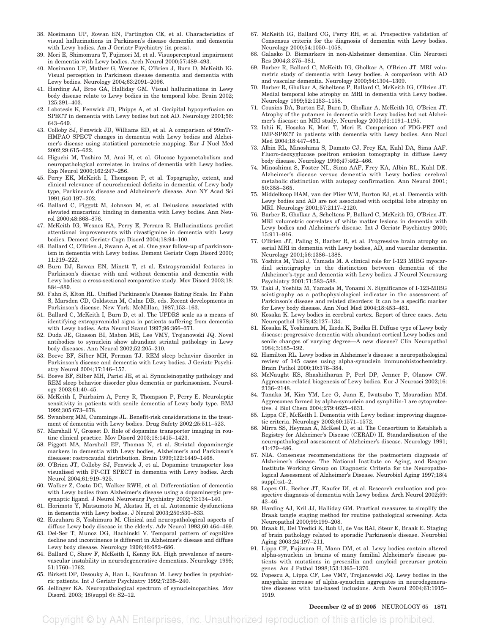- 38. Mosimann UP, Rowan EN, Partington CE, et al. Characteristics of visual hallucinations in Parkinson's disease dementia and dementia with Lewy bodies. Am J Geriatr Psychiatry (in press).
- 39. Mori E, Shimomura T, Fujimori M, et al. Visuoperceptual impairment in dementia with Lewy bodies. Arch Neurol 2000;57:489–493.
- 40. Mosimann UP, Mather G, Wesnes K, O'Brien J, Burn D, McKeith IG. Visual perception in Parkinson disease dementia and dementia with Lewy bodies. Neurology 2004;63:2091–2096.
- 41. Harding AJ, Broe GA, Halliday GM. Visual hallucinations in Lewy body disease relate to Lewy bodies in the temporal lobe. Brain 2002; 125:391–403.
- 42. Lobotesis K, Fenwick JD, Phipps A, et al. Occipital hypoperfusion on SPECT in dementia with Lewy bodies but not AD. Neurology 2001;56: 643–649.
- 43. Colloby SJ, Fenwick JD, Williams ED, et al. A comparison of 99mTc-HMPAO SPECT changes in dementia with Lewy bodies and Alzheimer's disease using statistical parametric mapping. Eur J Nucl Med 2002;29:615–622.
- 44. Higuchi M, Tashiro M, Arai H, et al. Glucose hypometabolism and neuropathological correlates in brains of dementia with Lewy bodies. Exp Neurol 2000;162:247–256.
- 45. Perry EK, McKeith I, Thompson P, et al. Topography, extent, and clinical relevance of neurochemical deficits in dementia of Lewy body type, Parkinson's disease and Alzheimer's disease. Ann NY Acad Sci 1991;640:197–202.
- 46. Ballard C, Piggott M, Johnson M, et al. Delusions associated with elevated muscarinic binding in dementia with Lewy bodies. Ann Neurol 2000;48:868–876.
- 47. McKeith IG, Wesnes KA, Perry E, Ferrara R. Hallucinations predict attentional improvements with rivastigmine in dementia with Lewy bodies. Dement Geriatr Cogn Disord 2004;18:94–100.
- 48. Ballard C, O'Brien J, Swann A, et al. One year follow-up of parkinsonism in dementia with Lewy bodies. Dement Geriatr Cogn Disord 2000; 11:219–222.
- 49. Burn DJ, Rowan EN, Minett T, et al. Extrapyramidal features in Parkinson's disease with and without dementia and dementia with Lewy bodies: a cross-sectional comparative study. Mov Disord 2003;18: 884–889.
- 50. Fahn S, Elton RL. Unified Parkinson's Disease Rating Scale. In: Fahn S, Marsden CD, Goldstein M, Calne DB, eds. Recent developments in Parkinson's disease. New York: McMillan, 1987;153–163.
- 51. Ballard C, McKeith I, Burn D, et al. The UPDRS scale as a means of identifying extrapyramidal signs in patients suffering from dementia with Lewy bodies. Acta Neurol Scand 1997;96:366–371.
- 52. Duda JE, Giasson BI, Mabon ME, Lee VMY, Trojanowski JQ. Novel antibodies to synuclein show abundant striatal pathology in Lewy body diseases. Ann Neurol 2002;52:205–210.
- 53. Boeve BF, Silber MH, Ferman TJ. REM sleep behavior disorder in Parkinson's disease and dementia with Lewy bodies. J Geriatr Psychiatry Neurol 2004;17:146–157.
- 54. Boeve BF, Silber MH, Parisi JE, et al. Synucleinopathy pathology and REM sleep behavior disorder plus dementia or parkinsonism. Neurology 2003;61:40–45.
- 55. McKeith I, Fairbairn A, Perry R, Thompson P, Perry E. Neuroleptic sensitivity in patients with senile dementia of Lewy body type. BMJ 1992;305:673–678.
- 56. Swanberg MM, Cummings JL. Benefit-risk considerations in the treatment of dementia with Lewy bodies. Drug Safety 2002;25:511–523.
- 57. Marshall V, Grosset D. Role of dopamine transporter imaging in routine clinical practice. Mov Disord 2003;18:1415–1423.
- 58. Piggott MA, Marshall EF, Thomas N, et al. Striatal dopaminergic markers in dementia with Lewy bodies, Alzheimer's and Parkinson's diseases: rostrocaudal distribution. Brain 1999;122:1449–1468.
- 59. O'Brien JT, Colloby SJ, Fenwick J, et al. Dopamine transporter loss visualised with FP-CIT SPECT in dementia with Lewy bodies. Arch Neurol 2004;61:919–925.
- 60. Walker Z, Costa DC, Walker RWH, et al. Differentiation of dementia with Lewy bodies from Alzheimer's disease using a dopaminergic presynaptic ligand. J Neurol Neurosurg Psychiatry 2002;73:134–140.
- 61. Horimoto Y, Matsumoto M, Akatsu H, et al. Autonomic dysfunctions in dementia with Lewy bodies. J Neurol 2003;250:530–533.
- 62. Kuzuhara S, Yoshimura M. Clinical and neuropathological aspects of diffuse Lewy body disease in the elderly. Adv Neurol 1993;60:464–469.
- 63. Del-Ser T, Munoz DG, Hachinski V. Temporal pattern of cognitive decline and incontinence is different in Alzheimer's disease and diffuse Lewy body disease. Neurology 1996;46:682–686.
- 64. Ballard C, Shaw F, McKeith I, Kenny RA. High prevalence of neurovascular instability in neurodegenerative dementias. Neurology 1998; 51:1760–1762.
- 65. Birkett DP, Desouky A, Han L, Kaufman M. Lewy bodies in psychiatric patients. Int J Geriatr Psychiatry 1992;7:235–240.
- 66. Jellinger KA. Neuropathological spectrum of synucleinopathies. Mov Disord. 2003; 18(suppl 6): S2–12.
- 67. McKeith IG, Ballard CG, Perry RH, et al. Prospective validation of Consensus criteria for the diagnosis of dementia with Lewy bodies. Neurology 2000;54:1050–1058.
- 68. Galasko D. Biomarkers in non-Alzheimer dementias. Clin Neurosci Res 2004;3:375–381.
- 69. Barber R, Ballard C, McKeith IG, Gholkar A, O'Brien JT. MRI volumetric study of dementia with Lewy bodies. A comparison with AD and vascular dementia. Neurology 2000;54:1304–1309.
- 70. Barber R, Gholkar A, Scheltens P, Ballard C, McKeith IG, O'Brien JT. Medial temporal lobe atrophy on MRI in dementia with Lewy bodies. Neurology 1999;52:1153–1158.
- 71. Cousins DA, Burton EJ, Burn D, Gholkar A, McKeith IG, O'Brien JT. Atrophy of the putamen in dementia with Lewy bodies but not Alzheimer's disease: an MRI study. Neurology 2003;61:1191–1195.
- 72. Ishii K, Hosaka K, Mori T, Mori E. Comparison of FDG-PET and IMP-SPECT in patients with dementia with Lewy bodies. Ann Nucl Med 2004;18:447–451.
- 73. Albin RL, Minoshima S, Damato CJ, Frey KA, Kuhl DA, Sima AAF. Fluoro-deoxyglucose positron emission tomography in diffuse Lewy body disease. Neurology 1996;47:462–466.
- 74. Minoshima S, Foster NL, Sima AAF, Frey KA, Albin RL, Kuhl DE. Alzheimer's disease versus dementia with Lewy bodies: cerebral metabolic distinction with autopsy confirmation. Ann Neurol 2001; 50:358–365.
- 75. Middelkoop HAM, van der Flier WM, Burton EJ, et al. Dementia with Lewy bodies and AD are not associated with occipital lobe atrophy on MRI. Neurology 2001;57:2117–2120.
- 76. Barber R, Gholkar A, Scheltens P, Ballard C, McKeith IG, O'Brien JT. MRI volumetric correlates of white matter lesions in dementia with Lewy bodies and Alzheimer's disease. Int J Geriatr Psychiatry 2000; 15:911–916.
- 77. O'Brien JT, Paling S, Barber R, et al. Progressive brain atrophy on serial MRI in dementia with Lewy bodies, AD, and vascular dementia. Neurology 2001;56:1386–1388.
- 78. Yoshita M, Taki J, Yamada M. A clinical role for I-123 MIBG myocardial scintigraphy in the distinction between dementia of the Alzheimer's-type and dementia with Lewy bodies. J Neurol Neurosurg Psychiatry 2001;71:583–588.
- 79. Taki J, Yoshita M, Yamada M, Tonami N. Significance of I-123-MIBG scintigraphy as a pathophysiological indicator in the assessment of Parkinson's disease and related disorders: It can be a specific marker for Lewy body disease. Ann Nucl Med 2004;18:453–461.
- 80. Kosaka K. Lewy bodies in cerebral cortex. Report of three cases. Acta Neuropathol 1978;42:127–134.
- 81. Kosaka K, Yoshimura M, Ikeda K, Budka H. Diffuse type of Lewy body disease: progressive dementia with abundant cortical Lewy bodies and senile changes of varying degree—A new disease? Clin Neuropathol 1984;3:185–192.
- 82. Hamilton RL. Lewy bodies in Alzheimer's disease: a neuropathological review of 145 cases using alpha-synuclein immunohistochemistry. Brain Pathol 2000;10:378–384.
- 83. McNaught KS, Shashidharan P, Perl DP, Jenner P, Olanow CW. Aggresome-related biogenesis of Lewy bodies. Eur J Neurosci 2002;16: 2136–2148.
- 84. Tanaka M, Kim YM, Lee G, Junn E, Iwatsubo T, Mouradian MM. Aggresomes formed by alpha-synuclein and synphilin-1 are cytoprotective. J Biol Chem 2004;279:4625–4631.
- 85. Lippa CF, McKeith I. Dementia with Lewy bodies: improving diagnostic criteria. Neurology 2003;60:1571–1572.
- 86. Mirra SS, Heyman A, McKeel D, et al. The Consortium to Establish a Registry for Alzheimer's Disease (CERAD) II. Standardisation of the neuropathological assessment of Alzheimer's disease. Neurology 1991; 41:479–486.
- 87. NIA. Consensus recommendations for the postmortem diagnosis of Alzheimer's disease. The National Institute on Aging, and Reagan Institute Working Group on Diagnostic Criteria for the Neuropathological Assessment of Alzheimer's Disease. Neurobiol Aging 1997;18(4  $sumpl:sl-2$ .
- 88. Lopez OL, Becher JT, Kaufer DI, et al. Research evaluation and prospective diagnosis of dementia with Lewy bodies. Arch Neurol 2002;59: 43–46.
- 89. Harding AJ, Kril JJ, Halliday GM. Practical measures to simplify the Braak tangle staging method for routine pathological screening. Acta Neuropathol 2000;99:199–208.
- 90. Braak H, Del Tredici K, Rub U, de Vos RAI, Steur E, Braak E. Staging of brain pathology related to sporadic Parkinson's disease. Neurobiol Aging 2003;24:197–211.
- 91. Lippa CF, Fujiwara H, Mann DM, et al. Lewy bodies contain altered alpha-synuclein in brains of many familial Alzheimer's disease patients with mutations in presenilin and amyloid precursor protein genes. Am J Pathol 1998;153:1365–1370.
- 92. Popescu A, Lippa CF, Lee VMY, Trojanowski JQ. Lewy bodies in the amygdala: increase of alpha-synuclein aggregates in neurodegenerative diseases with tau-based inclusions. Arch Neurol 2004;61:1915– 1919.

### **December (2 of 2) 2005** NEUROLOGY 65 **1871**